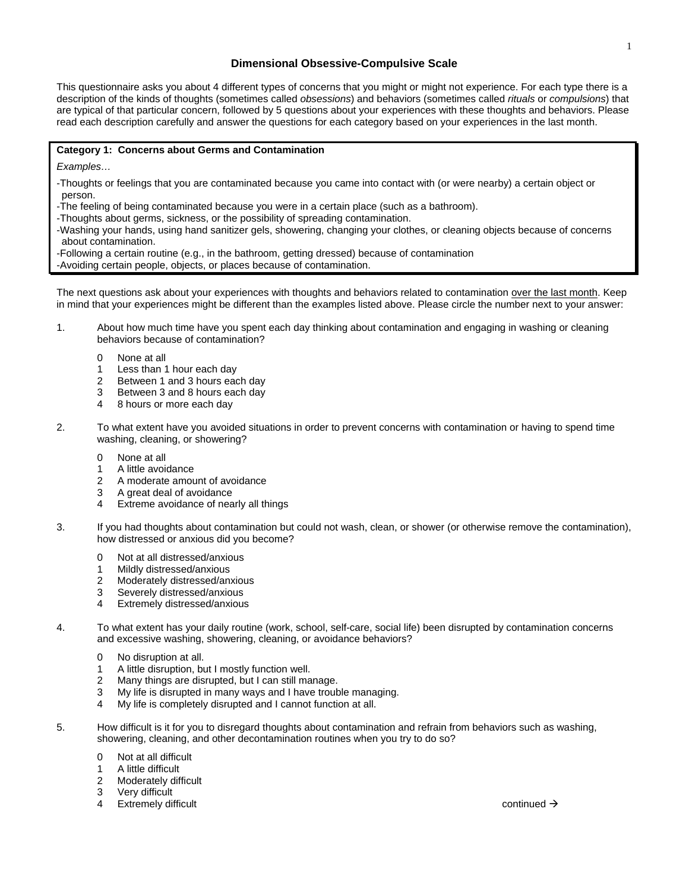## **Dimensional Obsessive-Compulsive Scale**

This questionnaire asks you about 4 different types of concerns that you might or might not experience. For each type there is a description of the kinds of thoughts (sometimes called *obsessions*) and behaviors (sometimes called *rituals* or *compulsions*) that are typical of that particular concern, followed by 5 questions about your experiences with these thoughts and behaviors. Please read each description carefully and answer the questions for each category based on your experiences in the last month.

## **Category 1: Concerns about Germs and Contamination**

*Examples…* 

-Thoughts or feelings that you are contaminated because you came into contact with (or were nearby) a certain object or person.

-The feeling of being contaminated because you were in a certain place (such as a bathroom).

-Thoughts about germs, sickness, or the possibility of spreading contamination.

-Washing your hands, using hand sanitizer gels, showering, changing your clothes, or cleaning objects because of concerns about contamination.

-Following a certain routine (e.g., in the bathroom, getting dressed) because of contamination

-Avoiding certain people, objects, or places because of contamination.

The next questions ask about your experiences with thoughts and behaviors related to contamination over the last month. Keep in mind that your experiences might be different than the examples listed above. Please circle the number next to your answer:

- 1. About how much time have you spent each day thinking about contamination and engaging in washing or cleaning behaviors because of contamination?
	- 0 None at all
	- 1 Less than 1 hour each day
	- 2 Between 1 and 3 hours each day
	- 3 Between 3 and 8 hours each day
	- 4 8 hours or more each day
- 2. To what extent have you avoided situations in order to prevent concerns with contamination or having to spend time washing, cleaning, or showering?
	- 0 None at all
	- 1 A little avoidance
	- 2 A moderate amount of avoidance
	- 3 A great deal of avoidance
	- 4 Extreme avoidance of nearly all things
- 3. If you had thoughts about contamination but could not wash, clean, or shower (or otherwise remove the contamination), how distressed or anxious did you become?
	- 0 Not at all distressed/anxious
	- 1 Mildly distressed/anxious
	- 2 Moderately distressed/anxious
	- 3 Severely distressed/anxious
	- 4 Extremely distressed/anxious
- 4. To what extent has your daily routine (work, school, self-care, social life) been disrupted by contamination concerns and excessive washing, showering, cleaning, or avoidance behaviors?
	- 0 No disruption at all.
	- 1 A little disruption, but I mostly function well.
	- 2 Many things are disrupted, but I can still manage.
	- 3 My life is disrupted in many ways and I have trouble managing.
	- 4 My life is completely disrupted and I cannot function at all.
- 5. How difficult is it for you to disregard thoughts about contamination and refrain from behaviors such as washing, showering, cleaning, and other decontamination routines when you try to do so?
	- 0 Not at all difficult
	- 1 A little difficult
	- 2 Moderately difficult
	- 3 Very difficult
	- 4 Extremely difficult continued  $\rightarrow$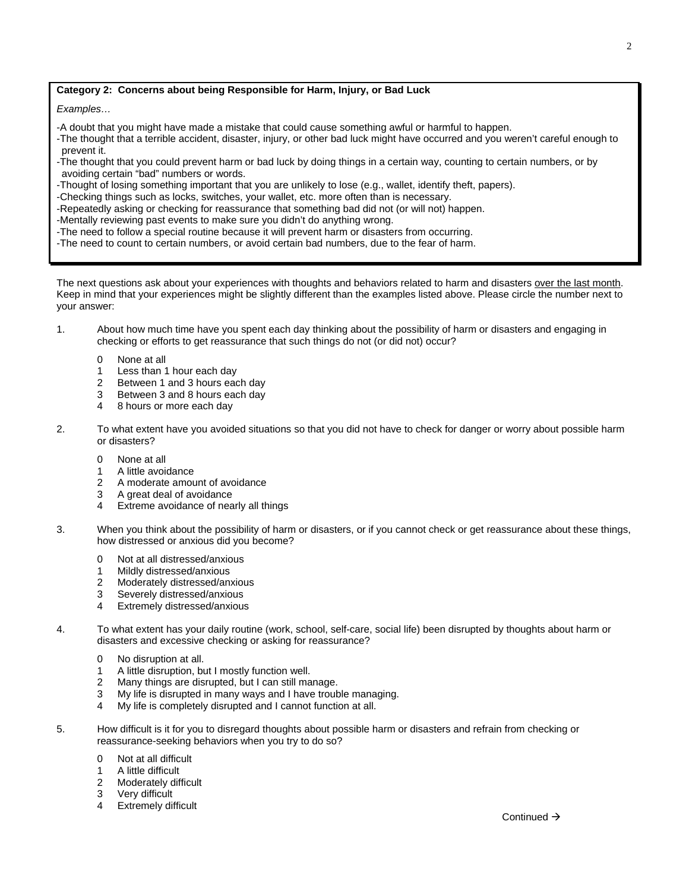## **Category 2: Concerns about being Responsible for Harm, Injury, or Bad Luck**

*Examples…* 

-A doubt that you might have made a mistake that could cause something awful or harmful to happen.

-The thought that a terrible accident, disaster, injury, or other bad luck might have occurred and you weren't careful enough to prevent it.

-The thought that you could prevent harm or bad luck by doing things in a certain way, counting to certain numbers, or by avoiding certain "bad" numbers or words.

-Thought of losing something important that you are unlikely to lose (e.g., wallet, identify theft, papers).

-Checking things such as locks, switches, your wallet, etc. more often than is necessary.

-Repeatedly asking or checking for reassurance that something bad did not (or will not) happen.

-Mentally reviewing past events to make sure you didn't do anything wrong.

-The need to follow a special routine because it will prevent harm or disasters from occurring.

-The need to count to certain numbers, or avoid certain bad numbers, due to the fear of harm.

The next questions ask about your experiences with thoughts and behaviors related to harm and disasters over the last month. Keep in mind that your experiences might be slightly different than the examples listed above. Please circle the number next to your answer:

- 1. About how much time have you spent each day thinking about the possibility of harm or disasters and engaging in checking or efforts to get reassurance that such things do not (or did not) occur?
	- 0 None at all
	- 1 Less than 1 hour each day
	- 2 Between 1 and 3 hours each day
	- 3 Between 3 and 8 hours each day
	- 4 8 hours or more each day
- 2. To what extent have you avoided situations so that you did not have to check for danger or worry about possible harm or disasters?
	- 0 None at all
	- 1 A little avoidance
	- 2 A moderate amount of avoidance
	- 3 A great deal of avoidance
	- 4 Extreme avoidance of nearly all things
- 3. When you think about the possibility of harm or disasters, or if you cannot check or get reassurance about these things, how distressed or anxious did you become?
	- 0 Not at all distressed/anxious
	- 1 Mildly distressed/anxious
	- 2 Moderately distressed/anxious
	- 3 Severely distressed/anxious
	- 4 Extremely distressed/anxious
- 4. To what extent has your daily routine (work, school, self-care, social life) been disrupted by thoughts about harm or disasters and excessive checking or asking for reassurance?
	- 0 No disruption at all.
	- 1 A little disruption, but I mostly function well.
	- 2 Many things are disrupted, but I can still manage.
	- 3 My life is disrupted in many ways and I have trouble managing.
	- 4 My life is completely disrupted and I cannot function at all.
- 5. How difficult is it for you to disregard thoughts about possible harm or disasters and refrain from checking or reassurance-seeking behaviors when you try to do so?
	- 0 Not at all difficult
	- 1 A little difficult
	- 2 Moderately difficult
	- 3 Very difficult
	- 4 Extremely difficult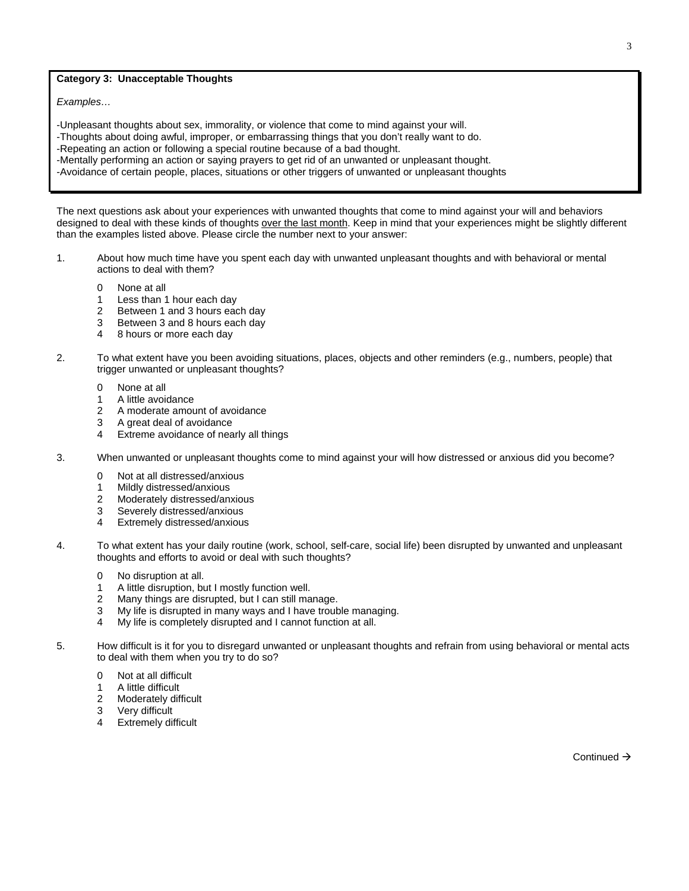## **Category 3: Unacceptable Thoughts**

*Examples…*

-Unpleasant thoughts about sex, immorality, or violence that come to mind against your will. -Thoughts about doing awful, improper, or embarrassing things that you don't really want to do. -Repeating an action or following a special routine because of a bad thought. -Mentally performing an action or saying prayers to get rid of an unwanted or unpleasant thought. -Avoidance of certain people, places, situations or other triggers of unwanted or unpleasant thoughts

The next questions ask about your experiences with unwanted thoughts that come to mind against your will and behaviors designed to deal with these kinds of thoughts over the last month. Keep in mind that your experiences might be slightly different than the examples listed above. Please circle the number next to your answer:

- 1. About how much time have you spent each day with unwanted unpleasant thoughts and with behavioral or mental actions to deal with them?
	- 0 None at all
	- 1 Less than 1 hour each day
	- 2 Between 1 and 3 hours each day
	- 3 Between 3 and 8 hours each day
	- 4 8 hours or more each day
- 2. To what extent have you been avoiding situations, places, objects and other reminders (e.g., numbers, people) that trigger unwanted or unpleasant thoughts?
	- 0 None at all
	- 1 A little avoidance
	- 2 A moderate amount of avoidance
	- 3 A great deal of avoidance
	- 4 Extreme avoidance of nearly all things
- 3. When unwanted or unpleasant thoughts come to mind against your will how distressed or anxious did you become?
	- 0 Not at all distressed/anxious
	- 1 Mildly distressed/anxious
	- 2 Moderately distressed/anxious
	- 3 Severely distressed/anxious
	- 4 Extremely distressed/anxious
- 4. To what extent has your daily routine (work, school, self-care, social life) been disrupted by unwanted and unpleasant thoughts and efforts to avoid or deal with such thoughts?
	- 0 No disruption at all.
	- 1 A little disruption, but I mostly function well.
	- 2 Many things are disrupted, but I can still manage.
	- 3 My life is disrupted in many ways and I have trouble managing.
	- 4 My life is completely disrupted and I cannot function at all.
- 5. How difficult is it for you to disregard unwanted or unpleasant thoughts and refrain from using behavioral or mental acts to deal with them when you try to do so?
	- 0 Not at all difficult
	- 1 A little difficult
	- 2 Moderately difficult
	- 3 Very difficult
	- 4 Extremely difficult

Continued  $\rightarrow$